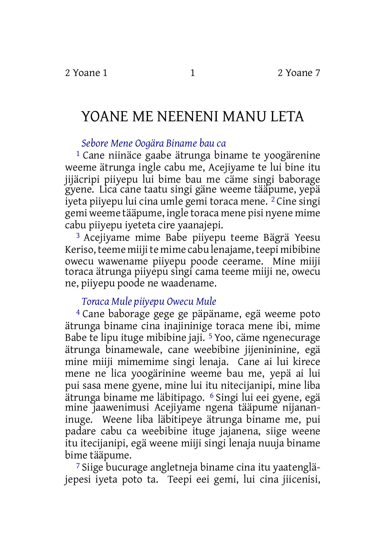# YOANE ME NEENENI MANU LETA

## *Sebore Mene Oogära Biname bau ca*

1 Cane niinäce gaabe ätrunga biname te yoogärenine weeme ätrunga ingle cabu me, Acejiyame te lui bine itu jijäcripi piiyepu lui bime bau me cäme singi baborage gyene. Lica cane taatu singi gäne weeme tääpume, yepä iyeta piiyepu lui cina umle gemi toraca mene.<sup>2</sup> Cine singi gemi weeme tääpume, ingle toraca mene pisi nyene mime cabu piiyepu iyeteta cire yaanajepi.

3 Acejiyame mime Babe piiyepu teeme Bägrä Yeesu Keriso, teeme miiji te mime cabu lenajame, teepi mibibine owecu wawename piiyepu poode ceerame. Mine miiji toraca ätrunga piiyepu singi cama teeme miiji ne, owecu ne, piiyepu poode ne waadename.

## *Toraca Mule piiyepu Owecu Mule*

4 Cane baborage gege ge päpäname, egä weeme poto ätrunga biname cina inajininige toraca mene ibi, mime Babe te lipu ituge mibibine jaji. 5 Yoo, cäme ngenecurage ätrunga binamewale, cane weebibine jijenininine, egä mine miiji mimemime singi lenaja. Cane ai lui kirece mene ne lica yoogärinine weeme bau me, yepä ai lui pui sasa mene gyene, mine lui itu nitecijanipi, mine liba ätrunga biname me läbitipago. 6 Singi lui eei gyene, egä mine jaawenimusi Acejiyame ngena tääpume nijananinuge. Weene liba läbitipeye ätrunga biname me, pui padare cabu ca weebibine ituge jajanena, siige weene itu itecijanipi, egä weene miiji singi lenaja nuuja biname bime tääpume.

7 Siige bucurage angletneja biname cina itu yaatengläjepesi iyeta poto ta. Teepi eei gemi, lui cina jiicenisi,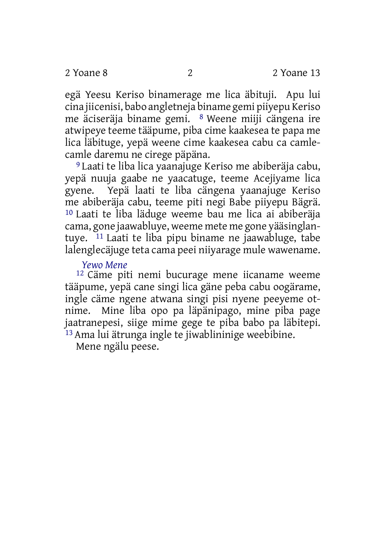egä Yeesu Keriso binamerage me lica äbituji. Apu lui cina jiicenisi, babo angletneja biname gemi piiyepu Keriso me äciseräja biname gemi. 8 Weene miiji cängena ire atwipeye teeme tääpume, piba cime kaakesea te papa me lica läbituge, yepä weene cime kaakesea cabu ca camlecamle daremu ne cirege päpäna.

9 Laati te liba lica yaanajuge Keriso me abiberäja cabu, yepä nuuja gaabe ne yaacatuge, teeme Acejiyame lica gyene. Yepä laati te liba cängena yaanajuge Keriso me abiberäja cabu, teeme piti negi Babe piiyepu Bägrä. 10 Laati te liba läduge weeme bau me lica ai abiberäja cama, gone jaawabluye, weeme mete me gone yääsinglantuye. 11 Laati te liba pipu biname ne jaawabluge, tabe lalenglecäjuge teta cama peei niiyarage mule wawename.

#### *Yewo Mene*

12 Cäme piti nemi bucurage mene iicaname weeme tääpume, yepä cane singi lica gäne peba cabu oogärame, ingle cäme ngene atwana singi pisi nyene peeyeme otnime. Mine liba opo pa läpänipago, mine piba page jaatranepesi, siige mime gege te piba babo pa läbitepi. 13 Ama lui ätrunga ingle te jiwablininige weebibine.

Mene ngälu peese.